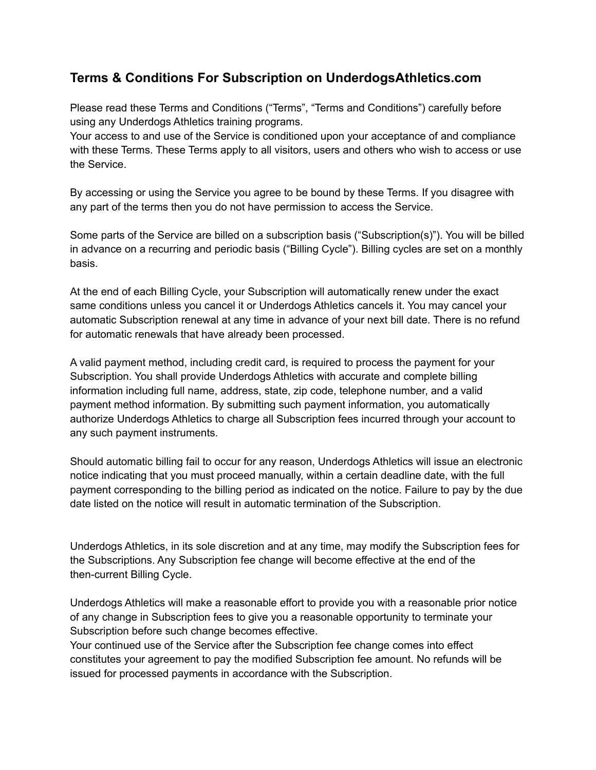# **Terms & Conditions For Subscription on UnderdogsAthletics.com**

Please read these Terms and Conditions ("Terms", "Terms and Conditions") carefully before using any Underdogs Athletics training programs.

Your access to and use of the Service is conditioned upon your acceptance of and compliance with these Terms. These Terms apply to all visitors, users and others who wish to access or use the Service.

By accessing or using the Service you agree to be bound by these Terms. If you disagree with any part of the terms then you do not have permission to access the Service.

Some parts of the Service are billed on a subscription basis ("Subscription(s)"). You will be billed in advance on a recurring and periodic basis ("Billing Cycle"). Billing cycles are set on a monthly basis.

At the end of each Billing Cycle, your Subscription will automatically renew under the exact same conditions unless you cancel it or Underdogs Athletics cancels it. You may cancel your automatic Subscription renewal at any time in advance of your next bill date. There is no refund for automatic renewals that have already been processed.

A valid payment method, including credit card, is required to process the payment for your Subscription. You shall provide Underdogs Athletics with accurate and complete billing information including full name, address, state, zip code, telephone number, and a valid payment method information. By submitting such payment information, you automatically authorize Underdogs Athletics to charge all Subscription fees incurred through your account to any such payment instruments.

Should automatic billing fail to occur for any reason, Underdogs Athletics will issue an electronic notice indicating that you must proceed manually, within a certain deadline date, with the full payment corresponding to the billing period as indicated on the notice. Failure to pay by the due date listed on the notice will result in automatic termination of the Subscription.

Underdogs Athletics, in its sole discretion and at any time, may modify the Subscription fees for the Subscriptions. Any Subscription fee change will become effective at the end of the then-current Billing Cycle.

Underdogs Athletics will make a reasonable effort to provide you with a reasonable prior notice of any change in Subscription fees to give you a reasonable opportunity to terminate your Subscription before such change becomes effective.

Your continued use of the Service after the Subscription fee change comes into effect constitutes your agreement to pay the modified Subscription fee amount. No refunds will be issued for processed payments in accordance with the Subscription.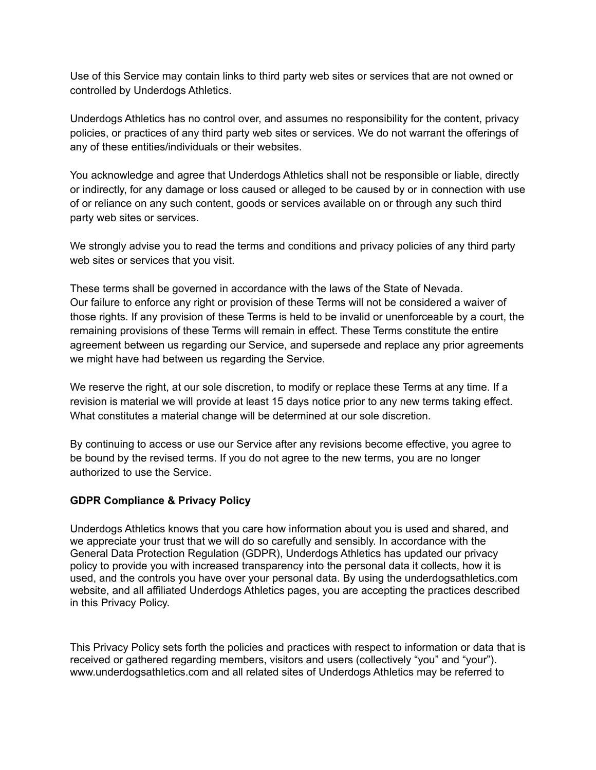Use of this Service may contain links to third party web sites or services that are not owned or controlled by Underdogs Athletics.

Underdogs Athletics has no control over, and assumes no responsibility for the content, privacy policies, or practices of any third party web sites or services. We do not warrant the offerings of any of these entities/individuals or their websites.

You acknowledge and agree that Underdogs Athletics shall not be responsible or liable, directly or indirectly, for any damage or loss caused or alleged to be caused by or in connection with use of or reliance on any such content, goods or services available on or through any such third party web sites or services.

We strongly advise you to read the terms and conditions and privacy policies of any third party web sites or services that you visit.

These terms shall be governed in accordance with the laws of the State of Nevada. Our failure to enforce any right or provision of these Terms will not be considered a waiver of those rights. If any provision of these Terms is held to be invalid or unenforceable by a court, the remaining provisions of these Terms will remain in effect. These Terms constitute the entire agreement between us regarding our Service, and supersede and replace any prior agreements we might have had between us regarding the Service.

We reserve the right, at our sole discretion, to modify or replace these Terms at any time. If a revision is material we will provide at least 15 days notice prior to any new terms taking effect. What constitutes a material change will be determined at our sole discretion.

By continuing to access or use our Service after any revisions become effective, you agree to be bound by the revised terms. If you do not agree to the new terms, you are no longer authorized to use the Service.

#### **GDPR Compliance & Privacy Policy**

Underdogs Athletics knows that you care how information about you is used and shared, and we appreciate your trust that we will do so carefully and sensibly. In accordance with the General Data Protection Regulation (GDPR), Underdogs Athletics has updated our privacy policy to provide you with increased transparency into the personal data it collects, how it is used, and the controls you have over your personal data. By using the underdogsathletics.com website, and all affiliated Underdogs Athletics pages, you are accepting the practices described in this Privacy Policy.

This Privacy Policy sets forth the policies and practices with respect to information or data that is received or gathered regarding members, visitors and users (collectively "you" and "your"). www.underdogsathletics.com and all related sites of Underdogs Athletics may be referred to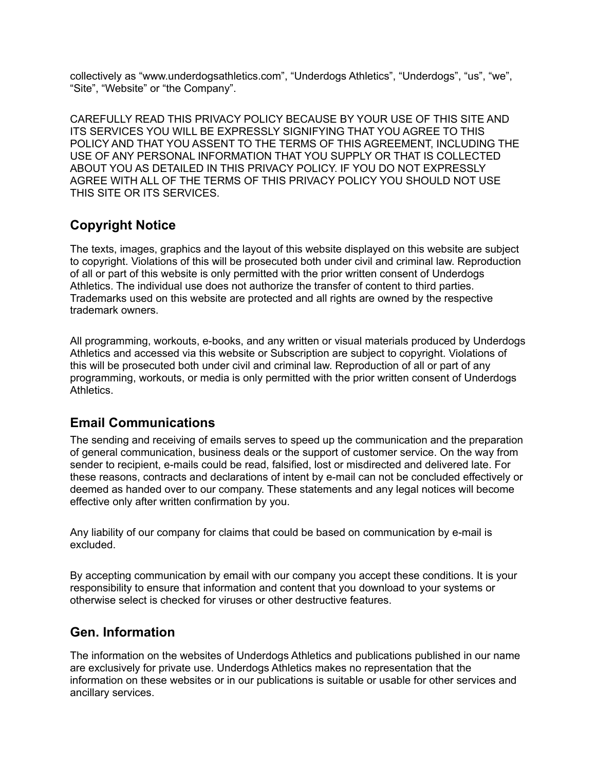collectively as "www.underdogsathletics.com", "Underdogs Athletics", "Underdogs", "us", "we", "Site", "Website" or "the Company".

CAREFULLY READ THIS PRIVACY POLICY BECAUSE BY YOUR USE OF THIS SITE AND ITS SERVICES YOU WILL BE EXPRESSLY SIGNIFYING THAT YOU AGREE TO THIS POLICY AND THAT YOU ASSENT TO THE TERMS OF THIS AGREEMENT, INCLUDING THE USE OF ANY PERSONAL INFORMATION THAT YOU SUPPLY OR THAT IS COLLECTED ABOUT YOU AS DETAILED IN THIS PRIVACY POLICY. IF YOU DO NOT EXPRESSLY AGREE WITH ALL OF THE TERMS OF THIS PRIVACY POLICY YOU SHOULD NOT USE THIS SITE OR ITS SERVICES.

# **Copyright Notice**

The texts, images, graphics and the layout of this website displayed on this website are subject to copyright. Violations of this will be prosecuted both under civil and criminal law. Reproduction of all or part of this website is only permitted with the prior written consent of Underdogs Athletics. The individual use does not authorize the transfer of content to third parties. Trademarks used on this website are protected and all rights are owned by the respective trademark owners.

All programming, workouts, e-books, and any written or visual materials produced by Underdogs Athletics and accessed via this website or Subscription are subject to copyright. Violations of this will be prosecuted both under civil and criminal law. Reproduction of all or part of any programming, workouts, or media is only permitted with the prior written consent of Underdogs Athletics.

## **Email Communications**

The sending and receiving of emails serves to speed up the communication and the preparation of general communication, business deals or the support of customer service. On the way from sender to recipient, e-mails could be read, falsified, lost or misdirected and delivered late. For these reasons, contracts and declarations of intent by e-mail can not be concluded effectively or deemed as handed over to our company. These statements and any legal notices will become effective only after written confirmation by you.

Any liability of our company for claims that could be based on communication by e-mail is excluded.

By accepting communication by email with our company you accept these conditions. It is your responsibility to ensure that information and content that you download to your systems or otherwise select is checked for viruses or other destructive features.

# **Gen. Information**

The information on the websites of Underdogs Athletics and publications published in our name are exclusively for private use. Underdogs Athletics makes no representation that the information on these websites or in our publications is suitable or usable for other services and ancillary services.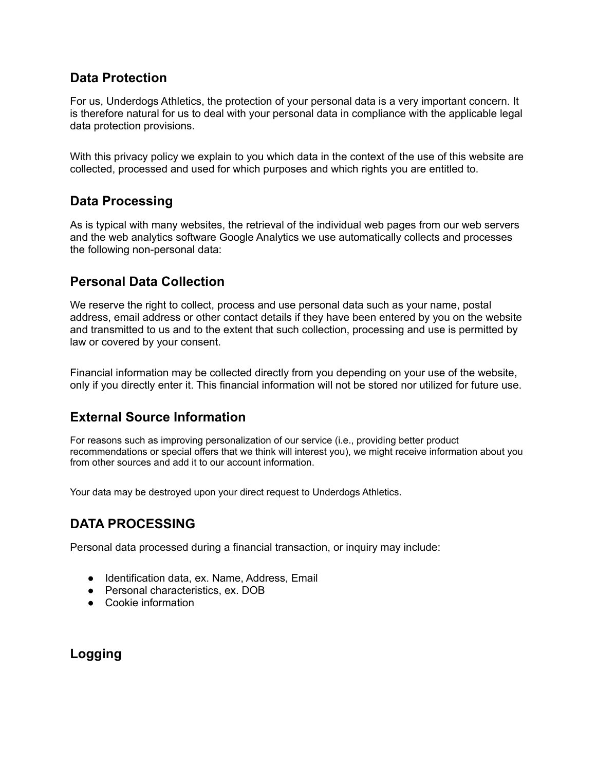## **Data Protection**

For us, Underdogs Athletics, the protection of your personal data is a very important concern. It is therefore natural for us to deal with your personal data in compliance with the applicable legal data protection provisions.

With this privacy policy we explain to you which data in the context of the use of this website are collected, processed and used for which purposes and which rights you are entitled to.

## **Data Processing**

As is typical with many websites, the retrieval of the individual web pages from our web servers and the web analytics software Google Analytics we use automatically collects and processes the following non-personal data:

### **Personal Data Collection**

We reserve the right to collect, process and use personal data such as your name, postal address, email address or other contact details if they have been entered by you on the website and transmitted to us and to the extent that such collection, processing and use is permitted by law or covered by your consent.

Financial information may be collected directly from you depending on your use of the website, only if you directly enter it. This financial information will not be stored nor utilized for future use.

## **External Source Information**

For reasons such as improving personalization of our service (i.e., providing better product recommendations or special offers that we think will interest you), we might receive information about you from other sources and add it to our account information.

Your data may be destroyed upon your direct request to Underdogs Athletics.

## **DATA PROCESSING**

Personal data processed during a financial transaction, or inquiry may include:

- Identification data, ex. Name, Address, Email
- Personal characteristics, ex. DOB
- Cookie information

**Logging**